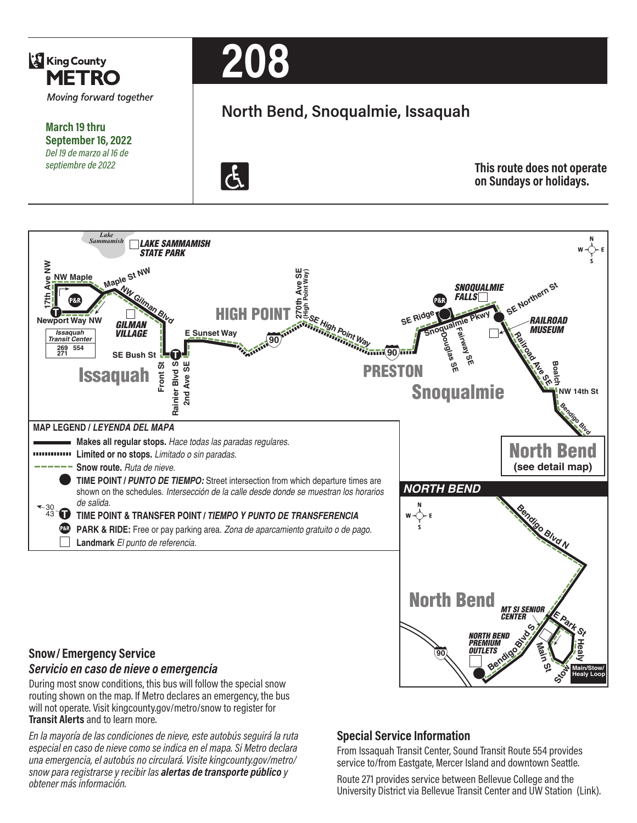

**March 19 thru September 16, 2022** *Del 19 de marzo al 16 de septiembre de 2022*



# **North Bend, Snoqualmie, Issaquah**



**This route does not operate on Sundays or holidays.**



During most snow conditions, this bus will follow the special snow routing shown on the map. If Metro declares an emergency, the bus will not operate. Visit kingcounty.gov/metro/snow to register for **Transit Alerts** and to learn more.

*En la mayoría de las condiciones de nieve, este autobús seguirá la ruta especial en caso de nieve como se indica en el mapa. Si Metro declara una emergencia, el autobús no circulará. Visite kingcounty.gov/metro/ snow para registrarse y recibir las alertas de transporte público y obtener más información.*

## **Special Service Information**

From Issaquah Transit Center, Sound Transit Route 554 provides service to/from Eastgate, Mercer Island and downtown Seattle.

Route 271 provides service between Bellevue College and the University District via Bellevue Transit Center and UW Station (Link).